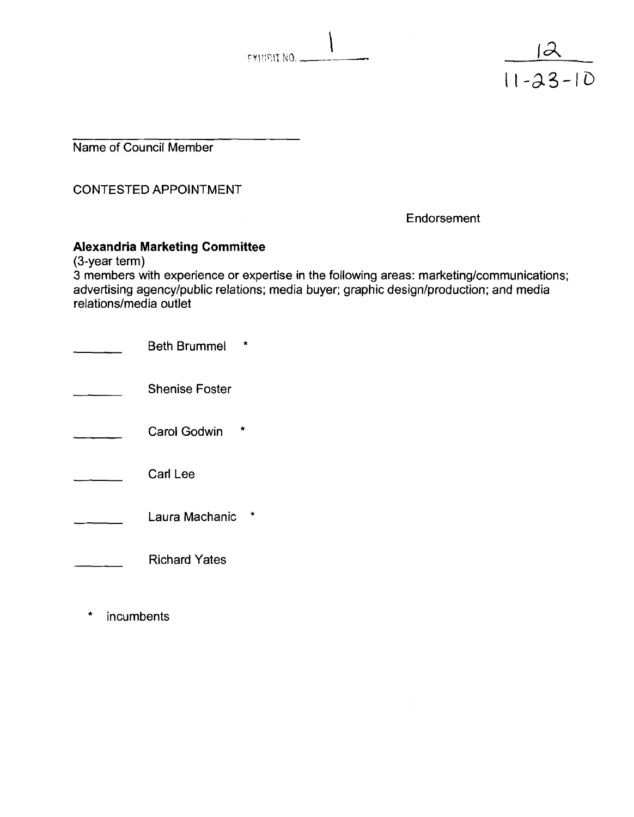EXHIBIT NO.

Name of Council Member

CONTESTED APPOINTMENT

**Endorsement** 

 $\frac{11 - 23 - 10}{11 - 23 - 10}$ 

#### **Alexandria Marketing Committee**

(3-year term)

3 members with experience or expertise in the following areas: marketing/communications; advertising agency/public relations; media buyer; graphic design/production; and media relations/media outlet

| <b>Beth Brummel</b>      |
|--------------------------|
| <b>Shenise Foster</b>    |
| <b>Carol Godwin</b><br>÷ |
| <b>Carl Lee</b>          |
| ×<br>Laura Machanic      |
| <b>Richard Yates</b>     |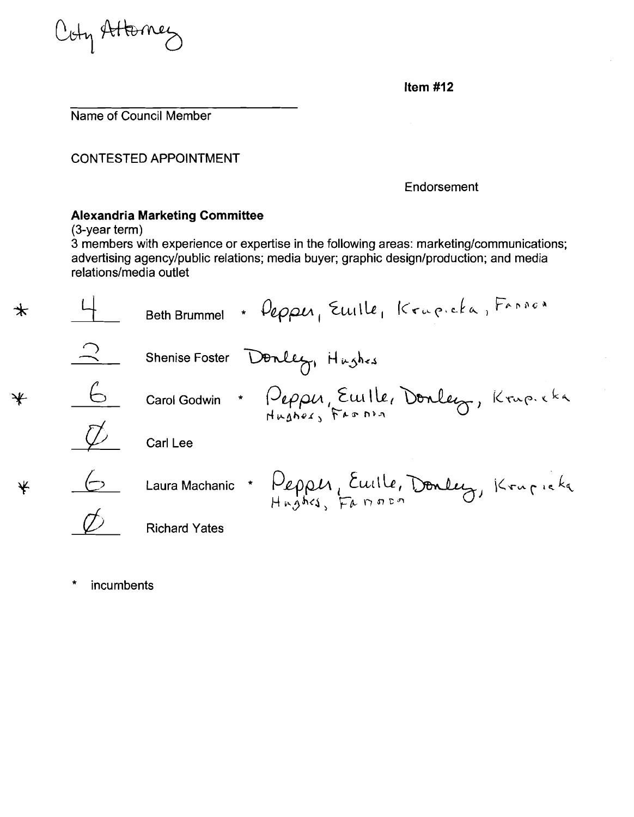Coty Attorney

**Item #I2** 

Name of Council Member

CONTESTED APPOINTMENT

Endorsement

# **Alexandria Marketing Committee**

(3-year term)

**3** members with experience or expertise in the following areas: marketinglcommunications; advertising agency/public relations; media buyer; graphic design/production; and media relations/media outlet

|   |   | + Depper, Emile, Krapicka, Fannon<br><b>Beth Brummel</b> |
|---|---|----------------------------------------------------------|
|   |   | Shenise Foster Donley, Hughes                            |
| ₩ | Ь | Carol Godwin * Pepper, Emille, Donley, Krup. eka         |
|   |   | Carl Lee                                                 |
|   |   | Laura Machanic * Pepper, Euille, Donley, Krupicka        |
|   |   | <b>Richard Yates</b>                                     |

\* incurnbents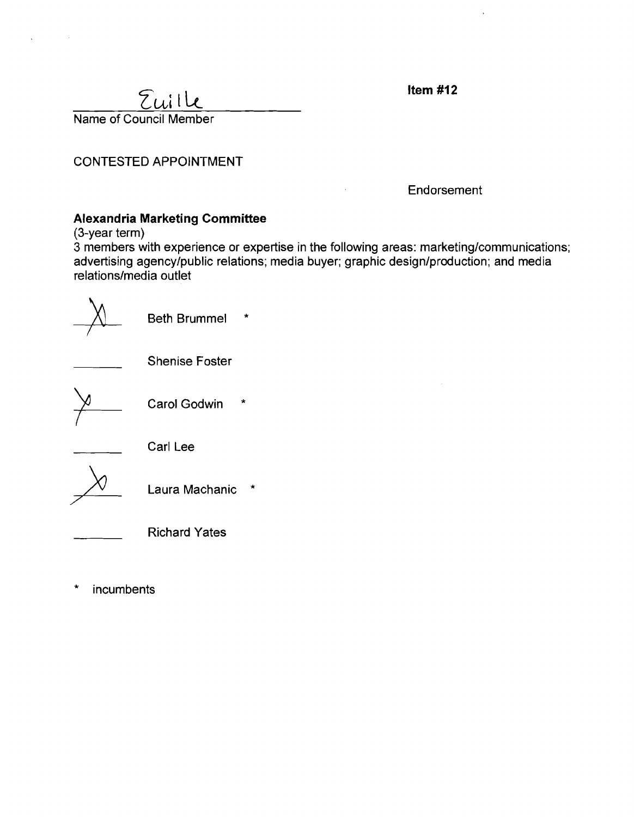Item  $#12$ 

Euille Name of Council Member

CONTESTED APPOINTMENT

Endorsement

## **Alexandria Marketing Committee**

(3-year term)

3 members with experience or expertise in the following areas: marketing/communications; advertising agency/public relations; media buyer; graphic design/production; and media relations/media outlet

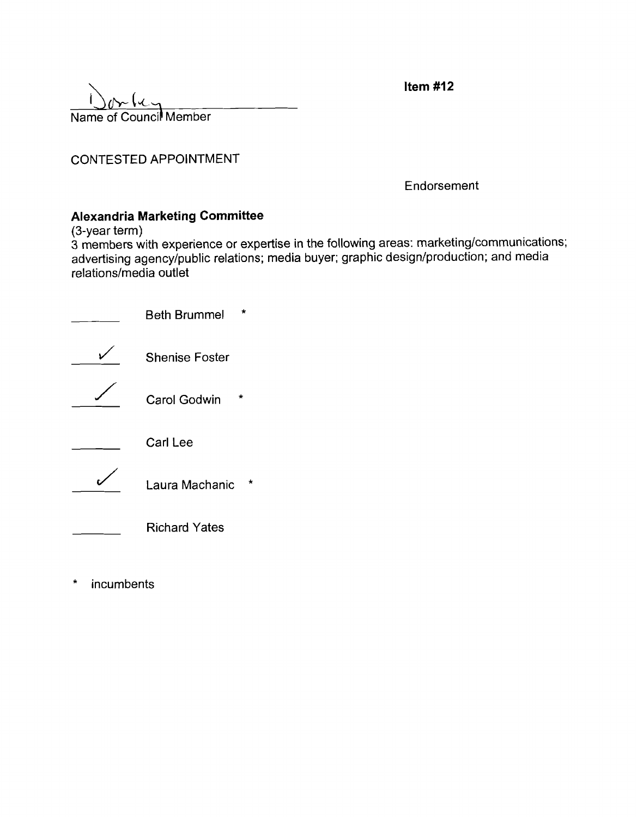| $1$ $m$                |  |
|------------------------|--|
| Name of Council Member |  |

Endorsement

Item  $#12$ 

# **Alexandria Marketing Committee**

(3-year term)

**3** members with experience or expertise in the following areas: marketinglcommunications; advertising agency/public relations; media buyer; graphic design/production; and media relations/media outlet

| <b>Beth Brummel</b>       |
|---------------------------|
| <b>Shenise Foster</b>     |
| <b>Carol Godwin</b>       |
| Carl Lee                  |
| $\star$<br>Laura Machanic |
| <b>Richard Yates</b>      |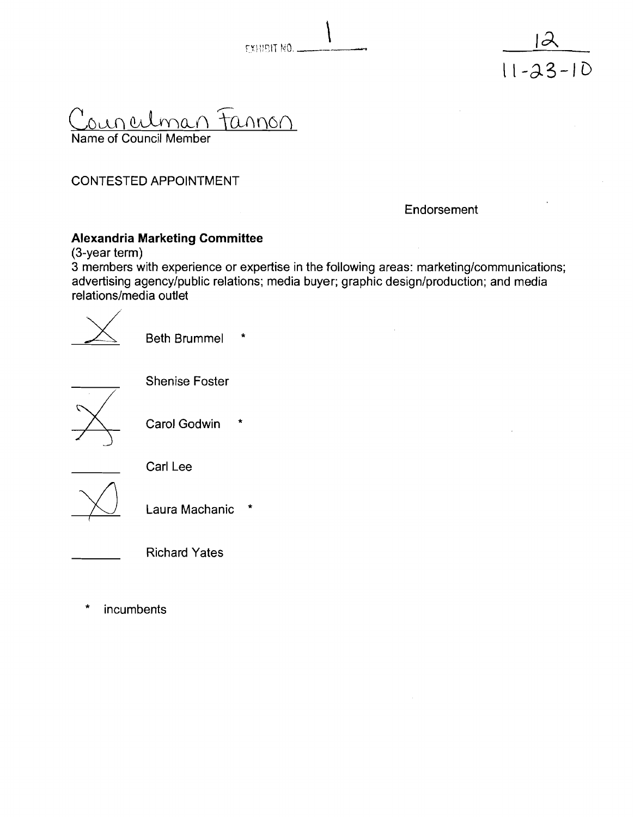



ounculman tannon Name of Council Member

**Endorsement** 

#### **Alexandria Marketing Committee**

(3-year term)

3 members with experience or expertise in the following areas: marketing/communications; advertising agency/public relations; media buyer; graphic design/production; and media relations/media outlet<br>relations/media outlet<br>Beth Brummel \* relations/media outlet

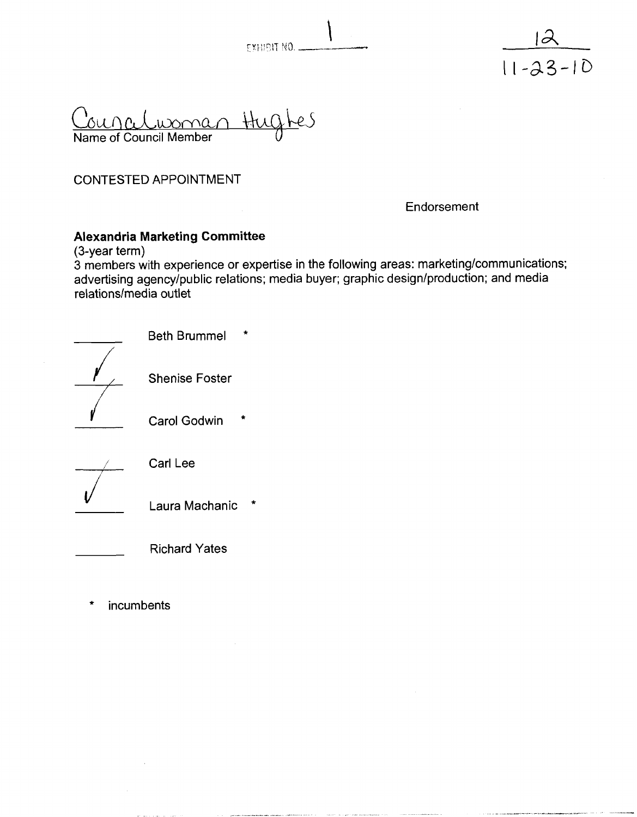



Councelwoman Hugh res

Endorsement

#### **Alexandria Marketing Committee**

(3-year term)

3 members with experience or expertise in the following areas: marketing/communications; advertising agency/public relations; media buyer; graphic design/production; and media relations/media outlet

| <b>Beth Brummel</b>      |
|--------------------------|
| <b>Shenise Foster</b>    |
| <b>Carol Godwin</b><br>٠ |
| Carl Lee                 |
| ÷<br>Laura Machanic      |
| <b>Richard Yates</b>     |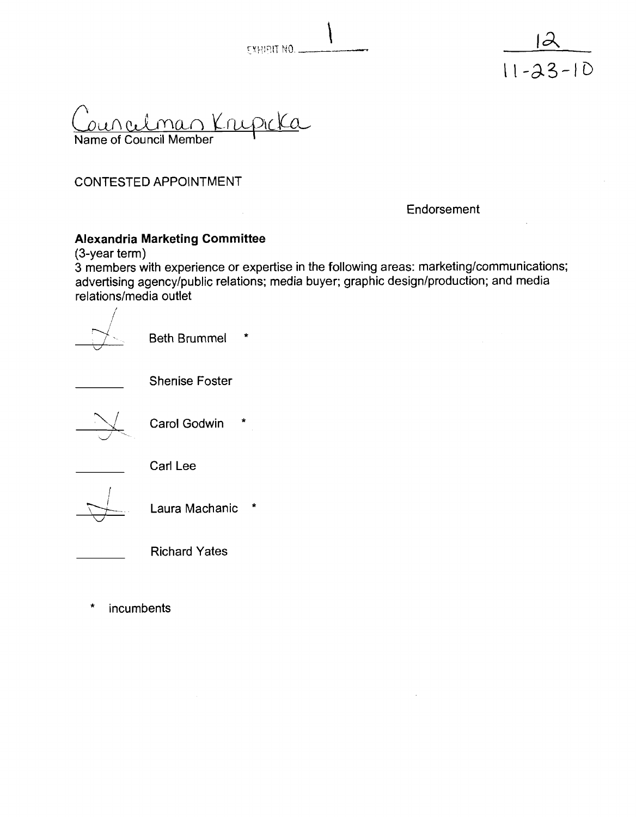



una Lman Krupicka Name of Council Member

Endorsement

#### **Alexandria Marketing Committee**

(3-year term)

3 members with experience or expertise in the following areas: marketing/communications; advertising agency/public relations; media buyer; graphic design/production; and media relations/media outlet

 $\sqrt{2}$ **Beth Brummel**  $\star$ Shenise Foster Carol Godwin \* Carl Lee Laura Machanic Richard Yates